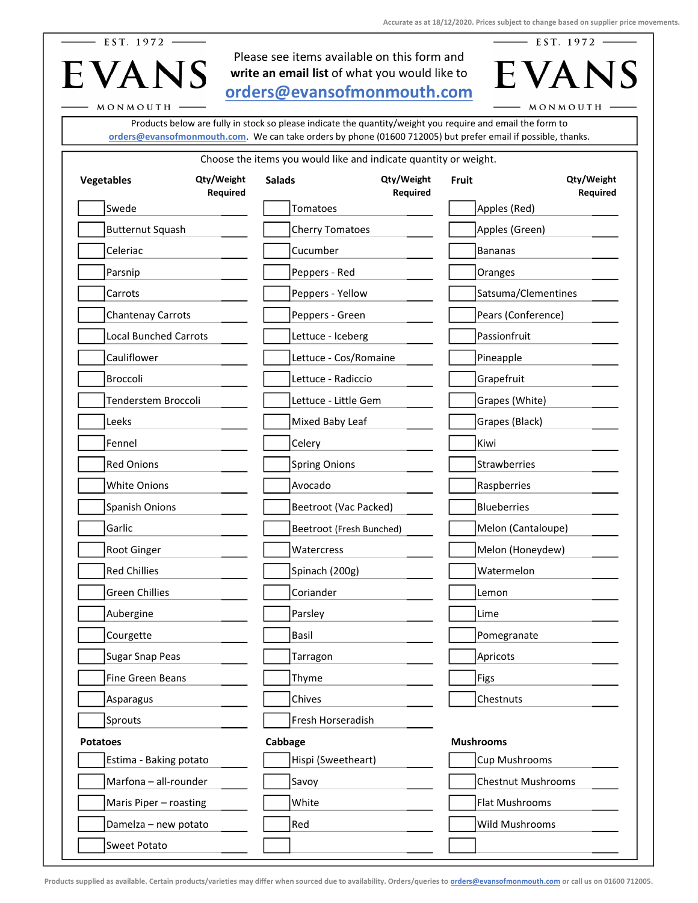## EST. 1972 -**EVANS**

Please see items available on this form and<br>write an email list of what you would like to  $EVA NS$ write an email list of what you would like to Orders@evansofmonmouth.com



EST. 1972 -

 $M$  O N M O U T H

Products below are fully in stock so please indicate the quantity/weight you require and email the form to orders@evansofmonmouth.com. We can take orders by phone (01600 712005) but prefer email if possible, thanks.

## Choose the items you would like and indicate quantity or weight.

| <b>Vegetables</b>            | Qty/Weight<br>Required | <b>Salads</b>          | Qty/Weight<br>Required   | Fruit | Qty/Weight<br>Required    |
|------------------------------|------------------------|------------------------|--------------------------|-------|---------------------------|
| Swede                        |                        | Tomatoes               |                          |       | Apples (Red)              |
| <b>Butternut Squash</b>      |                        | <b>Cherry Tomatoes</b> |                          |       | Apples (Green)            |
| Celeriac                     |                        | Cucumber               |                          |       | <b>Bananas</b>            |
| Parsnip                      |                        | Peppers - Red          |                          |       | Oranges                   |
| Carrots                      |                        | Peppers - Yellow       |                          |       | Satsuma/Clementines       |
| Chantenay Carrots            |                        | Peppers - Green        |                          |       | Pears (Conference)        |
| <b>Local Bunched Carrots</b> |                        | Lettuce - Iceberg      |                          |       | Passionfruit              |
| Cauliflower                  |                        |                        | Lettuce - Cos/Romaine    |       | Pineapple                 |
| Broccoli                     |                        | Lettuce - Radiccio     |                          |       | Grapefruit                |
| Tenderstem Broccoli          |                        |                        | Lettuce - Little Gem     |       | Grapes (White)            |
| Leeks                        |                        | Mixed Baby Leaf        |                          |       | Grapes (Black)            |
| Fennel                       |                        | Celery                 |                          |       | Kiwi                      |
| <b>Red Onions</b>            |                        | <b>Spring Onions</b>   |                          |       | Strawberries              |
| <b>White Onions</b>          |                        | Avocado                |                          |       | Raspberries               |
| Spanish Onions               |                        |                        | Beetroot (Vac Packed)    |       | <b>Blueberries</b>        |
| Garlic                       |                        |                        | Beetroot (Fresh Bunched) |       | Melon (Cantaloupe)        |
| Root Ginger                  |                        | Watercress             |                          |       | Melon (Honeydew)          |
| <b>Red Chillies</b>          |                        | Spinach (200g)         |                          |       | Watermelon                |
| <b>Green Chillies</b>        |                        | Coriander              |                          |       | Lemon                     |
| Aubergine                    |                        | Parsley                |                          |       | Lime                      |
| Courgette                    |                        | Basil                  |                          |       | Pomegranate               |
| <b>Sugar Snap Peas</b>       |                        | Tarragon               |                          |       | Apricots                  |
| Fine Green Beans             |                        | Thyme                  |                          |       | Figs                      |
| Asparagus                    |                        | Chives                 |                          |       | Chestnuts                 |
| Sprouts                      |                        | Fresh Horseradish      |                          |       |                           |
| <b>Potatoes</b>              |                        | Cabbage                |                          |       | <b>Mushrooms</b>          |
| Estima - Baking potato       |                        | Hispi (Sweetheart)     |                          |       | Cup Mushrooms             |
| Marfona - all-rounder        |                        | Savoy                  |                          |       | <b>Chestnut Mushrooms</b> |
| Maris Piper - roasting       |                        | White                  |                          |       | Flat Mushrooms            |
| Damelza - new potato         |                        | Red                    |                          |       | Wild Mushrooms            |
| <b>Sweet Potato</b>          |                        |                        |                          |       |                           |

Products supplied as available. Certain products/varieties may differ when sourced due to availability. Orders/queries to orders@evansofmonmouth.com or call us on 01600 712005.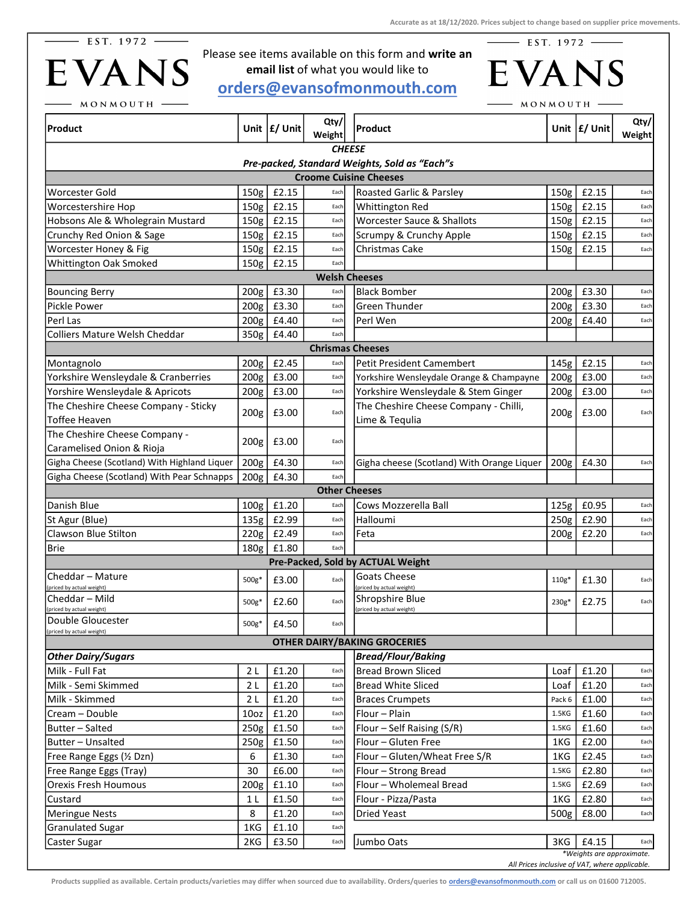EST. 1972

**EVANS** 

## Please see items available on this form and write an<br>
email list of what you would like to<br>
anders @ overasefree presents can:<br>  $E \text{ VAN}$ email list of what you would like to



EST. 1972 -

- MONMOUTH -

| Product                                        |                  | Unit $ f$ Unit | Qty/<br>Weight          | Product                                       |                  | Unit $ f /$ Unit | Qty/<br>Weight |
|------------------------------------------------|------------------|----------------|-------------------------|-----------------------------------------------|------------------|------------------|----------------|
|                                                |                  | <b>CHEESE</b>  |                         |                                               |                  |                  |                |
|                                                |                  |                |                         | Pre-packed, Standard Weights, Sold as "Each"s |                  |                  |                |
|                                                |                  |                |                         | <b>Croome Cuisine Cheeses</b>                 |                  |                  |                |
| Worcester Gold                                 | 150 <sub>g</sub> | £2.15          | Each                    | Roasted Garlic & Parsley                      | 150 <sub>g</sub> | £2.15            | Each           |
| Worcestershire Hop                             | 150 <sub>g</sub> | £2.15          | Each                    | <b>Whittington Red</b>                        | 150 <sub>g</sub> | £2.15            | Each           |
| Hobsons Ale & Wholegrain Mustard               | 150 <sub>g</sub> | £2.15          | Each                    | <b>Worcester Sauce &amp; Shallots</b>         | 150 <sub>g</sub> | £2.15            | Each           |
| Crunchy Red Onion & Sage                       | 150 <sub>g</sub> | £2.15          | Each                    | Scrumpy & Crunchy Apple                       | 150 <sub>g</sub> | £2.15            | Each           |
| Worcester Honey & Fig                          | 150g             | £2.15          | Each                    | Christmas Cake                                | 150 <sub>g</sub> | £2.15            | Each           |
| <b>Whittington Oak Smoked</b>                  | 150 <sub>g</sub> | £2.15          | Each                    |                                               |                  |                  |                |
|                                                |                  |                | <b>Welsh Cheeses</b>    |                                               |                  |                  |                |
| <b>Bouncing Berry</b>                          | 200 <sub>g</sub> | £3.30          | Each                    | <b>Black Bomber</b>                           | 200 <sub>g</sub> | £3.30            | Each           |
| Pickle Power                                   | 200 <sub>g</sub> | £3.30          | Each                    | Green Thunder                                 | 200 <sub>g</sub> | £3.30            | Each           |
| Perl Las                                       | 200g             | £4.40          | Each                    | Perl Wen                                      | 200 <sub>g</sub> | £4.40            | Each           |
| Colliers Mature Welsh Cheddar                  | 350g             | £4.40          | Each                    |                                               |                  |                  |                |
|                                                |                  |                | <b>Chrismas Cheeses</b> |                                               |                  |                  |                |
| Montagnolo                                     | 200 <sub>g</sub> | £2.45          | Each                    | Petit President Camembert                     | 145g             | £2.15            | Each           |
| Yorkshire Wensleydale & Cranberries            | 200 <sub>g</sub> | £3.00          | Each                    | Yorkshire Wensleydale Orange & Champayne      | 200 <sub>g</sub> | £3.00            | Each           |
| Yorshire Wensleydale & Apricots                | 200 <sub>g</sub> | £3.00          | Each                    | Yorkshire Wensleydale & Stem Ginger           | 200 <sub>g</sub> | £3.00            | Each           |
| The Cheshire Cheese Company - Sticky           | 200 <sub>g</sub> | £3.00          | Each                    | The Cheshire Cheese Company - Chilli,         | 200 <sub>g</sub> | £3.00            | Each           |
| <b>Toffee Heaven</b>                           |                  |                |                         | Lime & Tequlia                                |                  |                  |                |
| The Cheshire Cheese Company -                  |                  |                |                         |                                               |                  |                  |                |
| Caramelised Onion & Rioja                      | 200 <sub>g</sub> | £3.00          | Each                    |                                               |                  |                  |                |
| Gigha Cheese (Scotland) With Highland Liquer   | 200g             | £4.30          | Each                    | Gigha cheese (Scotland) With Orange Liquer    | 200 <sub>g</sub> | £4.30            | Each           |
| Gigha Cheese (Scotland) With Pear Schnapps     | 200g             | £4.30          | Each                    |                                               |                  |                  |                |
|                                                |                  |                | <b>Other Cheeses</b>    |                                               |                  |                  |                |
| Danish Blue                                    | 100 <sub>g</sub> | £1.20          | Each                    | Cows Mozzerella Ball                          | 125g             | £0.95            | Each           |
| St Agur (Blue)                                 | 135g             | £2.99          | Each                    | Halloumi                                      | 250g             | £2.90            | Each           |
| Clawson Blue Stilton                           | 220g             | £2.49          | Each                    | Feta                                          | 200 <sub>g</sub> | £2.20            | Each           |
| <b>Brie</b>                                    | 180g             | £1.80          | Each                    |                                               |                  |                  |                |
|                                                |                  |                |                         | Pre-Packed, Sold by ACTUAL Weight             |                  |                  |                |
| Cheddar - Mature                               | 500g*            | £3.00          | Each                    | Goats Cheese                                  | $110g*$          | £1.30            | Each           |
| (priced by actual weight)<br>Cheddar – Mild    | 500g*            | £2.60          | Each                    | (priced by actual weight)<br>Shropshire Blue  | $230g*$          | £2.75            | Each           |
| (priced by actual weight)                      |                  |                |                         | (priced by actual weight)                     |                  |                  |                |
| Double Gloucester<br>(priced by actual weight) | 500g*            | £4.50          | Each                    |                                               |                  |                  |                |
|                                                |                  |                |                         | <b>OTHER DAIRY/BAKING GROCERIES</b>           |                  |                  |                |
| <b>Other Dairy/Sugars</b>                      |                  |                |                         | <b>Bread/Flour/Baking</b>                     |                  |                  |                |
| Milk - Full Fat                                | 2L               | £1.20          | Each                    | <b>Bread Brown Sliced</b>                     | Loaf             | £1.20            | Each           |
| Milk - Semi Skimmed                            | 2L               | £1.20          | Each                    | <b>Bread White Sliced</b>                     | Loaf             | £1.20            | Each           |
| Milk - Skimmed                                 | 2 <sub>L</sub>   | £1.20          | Each                    | <b>Braces Crumpets</b>                        | Pack 6           | £1.00            | Each           |
| Cream - Double                                 | 10oz             | £1.20          | Each                    | Flour - Plain                                 | 1.5 <sub>K</sub> | £1.60            | Each           |
| Butter-Salted                                  | 250g             | £1.50          | Each                    | Flour - Self Raising (S/R)                    | 1.5 <sub>K</sub> | £1.60            | Each           |
| Butter - Unsalted                              | 250g             | £1.50          | Each                    | Flour - Gluten Free                           | 1KG              | £2.00            | Each           |
| Free Range Eggs (1/2 Dzn)                      | 6                | £1.30          | Each                    | Flour - Gluten/Wheat Free S/R                 | 1KG              | £2.45            | Each           |
| Free Range Eggs (Tray)                         | 30               | £6.00          | Each                    | Flour - Strong Bread                          | 1.5KG            | £2.80            | Each           |
| Orexis Fresh Houmous                           | 200 <sub>g</sub> | £1.10          | Each                    | Flour - Wholemeal Bread                       | 1.5 <sub>K</sub> | £2.69            | Each           |
| Custard                                        | 1 <sub>L</sub>   | £1.50          | Each                    | Flour - Pizza/Pasta                           | 1KG              | £2.80            | Each           |
| <b>Meringue Nests</b>                          | 8                | £1.20          | Each                    | <b>Dried Yeast</b>                            | 500 <sub>g</sub> | £8.00            | Each           |
| <b>Granulated Sugar</b>                        | 1KG              | £1.10          | Each                    |                                               |                  |                  |                |
| Caster Sugar                                   | 2KG              | £3.50          | Each                    | Jumbo Oats                                    | 3KG              | £4.15            | Each           |

All Prices inclusive of VAT, where applicable.

Products supplied as available. Certain products/varieties may differ when sourced due to availability. Orders/queries to **orders@evansofmonmouth.com** or call us on 01600 712005.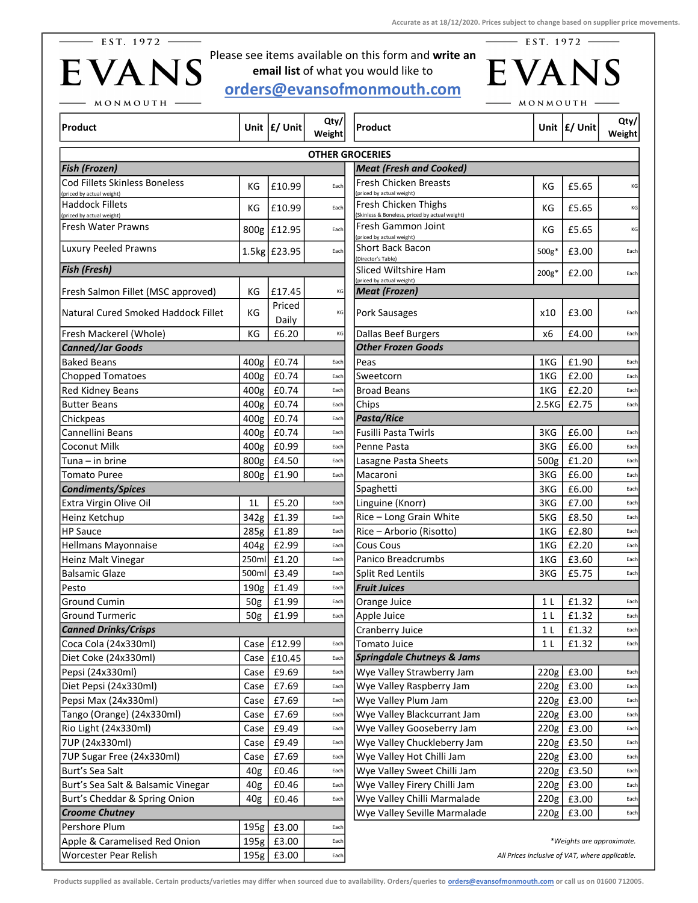

Please see items available on this form and write an email list of what you would like to  $E$   $VANS$ email list of what you would like to



EST. 1972 -

- MONMOUTH -

EST. 1972 -

orders@evansofmonmouth.com

| Product                                                    |                  | Unit $ f$ Unit      | Qty/<br>Weight       | Product                                                                |                                                | Unit $ f $ Unit | Qty/<br><b>Weight</b>     |
|------------------------------------------------------------|------------------|---------------------|----------------------|------------------------------------------------------------------------|------------------------------------------------|-----------------|---------------------------|
|                                                            |                  |                     |                      | <b>OTHER GROCERIES</b>                                                 |                                                |                 |                           |
| <b>Fish (Frozen)</b>                                       |                  |                     |                      | <b>Meat (Fresh and Cooked)</b>                                         |                                                |                 |                           |
| Cod Fillets Skinless Boneless<br>(priced by actual weight) | КG               | £10.99              | Each                 | Fresh Chicken Breasts<br>(priced by actual weight)                     | КG                                             | £5.65           | KG                        |
| <b>Haddock Fillets</b><br>(priced by actual weight)        | КG               | £10.99              | Each                 | Fresh Chicken Thighs<br>(Skinless & Boneless, priced by actual weight) | КG                                             | £5.65           | KG                        |
| Fresh Water Prawns                                         |                  | 800g E12.95         | Each                 | Fresh Gammon Joint<br>(priced by actual weight)                        | КG                                             | £5.65           | KG                        |
| <b>Luxury Peeled Prawns</b>                                |                  | 1.5kg £23.95        | Each                 | <b>Short Back Bacon</b>                                                | $500g*$                                        | £3.00           | Each                      |
| <b>Fish (Fresh)</b>                                        |                  |                     |                      | Director's Table)<br>Sliced Wiltshire Ham<br>£2.00<br>200g*            |                                                | Each            |                           |
| Fresh Salmon Fillet (MSC approved)                         | КG               | £17.45              | KG                   | (priced by actual weight)<br><b>Meat (Frozen)</b>                      |                                                |                 |                           |
| Natural Cured Smoked Haddock Fillet                        | KG               | Priced<br>Daily     | $\mathsf{KG}\xspace$ | Pork Sausages                                                          | x10                                            | £3.00           | Each                      |
| Fresh Mackerel (Whole)                                     | КG               | £6.20               | KG                   | Dallas Beef Burgers                                                    | x6                                             | £4.00           | Each                      |
| <b>Canned/Jar Goods</b>                                    |                  |                     |                      | <b>Other Frozen Goods</b>                                              |                                                |                 |                           |
| <b>Baked Beans</b>                                         | 400g             | £0.74               | Each                 | Peas                                                                   | 1KG                                            | £1.90           | Each                      |
| <b>Chopped Tomatoes</b>                                    | 400g             | £0.74               | Each                 | Sweetcorn                                                              | 1KG                                            | £2.00           | Each                      |
| Red Kidney Beans                                           | 400g             | £0.74               | Each                 | <b>Broad Beans</b>                                                     | 1KG                                            | £2.20           | Each                      |
| <b>Butter Beans</b>                                        | 400g             | £0.74               | Each                 | Chips                                                                  | 2.5 <sub>K</sub> G                             | £2.75           | Each                      |
| Chickpeas                                                  | 400g             | £0.74               | Each                 | <b>Pasta/Rice</b>                                                      |                                                |                 |                           |
| Cannellini Beans                                           | 400g             | £0.74               | Each                 | Fusilli Pasta Twirls                                                   | 3KG                                            | £6.00           | Each                      |
| Coconut Milk                                               | 400g             | £0.99               | Each                 | Penne Pasta                                                            | 3KG                                            | £6.00           | Each                      |
| Tuna – in brine                                            | 800g             | £4.50               | Each                 | Lasagne Pasta Sheets                                                   | 500g                                           | £1.20           | Each                      |
| Tomato Puree                                               | 800g             | £1.90               | Each                 | Macaroni                                                               | 3KG                                            | £6.00           | Each                      |
| <b>Condiments/Spices</b>                                   |                  |                     |                      | Spaghetti                                                              | 3KG                                            | £6.00           | Each                      |
| Extra Virgin Olive Oil                                     | 1L               | £5.20               | Each                 | Linguine (Knorr)                                                       | 3KG                                            | £7.00           | Each                      |
| Heinz Ketchup                                              | 342g             | £1.39               | Each                 | Rice - Long Grain White                                                | 5KG                                            | £8.50           | Each                      |
| <b>HP Sauce</b>                                            | 285g             | £1.89               | Each                 | Rice - Arborio (Risotto)                                               | 1KG                                            | £2.80           | Each                      |
| Hellmans Mayonnaise                                        | 404g             | £2.99               | Each                 | Cous Cous                                                              | 1KG                                            | £2.20           | Each                      |
| Heinz Malt Vinegar                                         | 250ml            | £1.20               | Each                 | <b>Panico Breadcrumbs</b>                                              | 1KG                                            | £3.60           | Each                      |
| <b>Balsamic Glaze</b>                                      | 500ml            | £3.49               | Each                 | Split Red Lentils                                                      | 3KG                                            | £5.75           | Each                      |
| Pesto                                                      | 190g             | £1.49               | Each                 | <b>Fruit Juices</b>                                                    |                                                |                 |                           |
| <b>Ground Cumin</b>                                        | 50g              | £1.99               | Each                 | Orange Juice                                                           | 1 L                                            | £1.32           | Each                      |
| Ground Turmeric                                            | 50 <sub>g</sub>  | £1.99               | Each                 | Apple Juice                                                            | 1 <sub>L</sub>                                 | £1.32           | Each                      |
| <b>Canned Drinks/Crisps</b>                                |                  |                     |                      | Cranberry Juice                                                        | 1 <sub>L</sub>                                 | £1.32           | Each                      |
| Coca Cola (24x330ml)                                       |                  | Case $E12.99$       | Each                 | Tomato Juice                                                           | 1 L                                            | £1.32           | Each                      |
| Diet Coke (24x330ml)                                       |                  | Case $\vert$ £10.45 | Each                 | <b>Springdale Chutneys &amp; Jams</b>                                  |                                                |                 |                           |
| Pepsi (24x330ml)                                           | Case             | £9.69               | Each                 | Wye Valley Strawberry Jam                                              | 220g                                           | £3.00           | Each                      |
| Diet Pepsi (24x330ml)                                      | Case             | £7.69               | Each                 | Wye Valley Raspberry Jam                                               | 220g                                           | £3.00           | Each                      |
| Pepsi Max (24x330ml)                                       | Case             | £7.69               | Each                 | Wye Valley Plum Jam                                                    | 220g                                           | £3.00           | Each                      |
| Tango (Orange) (24x330ml)                                  | Case             | £7.69               | Each                 | Wye Valley Blackcurrant Jam                                            | 220g                                           | £3.00           | Each                      |
| Rio Light (24x330ml)                                       | Case             | £9.49               | Each                 | Wye Valley Gooseberry Jam                                              | 220g                                           | £3.00           | Each                      |
| 7UP (24x330ml)                                             | Case             | £9.49               | Each                 | Wye Valley Chuckleberry Jam                                            | 220g                                           | £3.50           | Each                      |
| 7UP Sugar Free (24x330ml)                                  | Case             | £7.69               | Each                 | Wye Valley Hot Chilli Jam                                              | 220g                                           | £3.00           | Each                      |
| Burt's Sea Salt                                            | 40g              | £0.46               | Each                 | Wye Valley Sweet Chilli Jam                                            |                                                | 220g   £3.50    | Each                      |
| Burt's Sea Salt & Balsamic Vinegar                         | 40g              | £0.46               | Each                 | Wye Valley Firery Chilli Jam                                           | 220g                                           | £3.00           | Each                      |
| Burt's Cheddar & Spring Onion                              | 40 <sub>g</sub>  | £0.46               | Each                 | Wye Valley Chilli Marmalade                                            | 220g                                           | £3.00           | Each                      |
| <b>Croome Chutney</b>                                      |                  |                     |                      | Wye Valley Seville Marmalade                                           | 220g                                           | £3.00           | Each                      |
| Pershore Plum                                              | 195 <sub>g</sub> | £3.00               | Each                 |                                                                        |                                                |                 |                           |
| Apple & Caramelised Red Onion                              |                  | 195g   £3.00        | Each                 |                                                                        |                                                |                 | *Weights are approximate. |
| Worcester Pear Relish                                      |                  | 195g   £3.00        | Each                 |                                                                        | All Prices inclusive of VAT, where applicable. |                 |                           |
|                                                            |                  |                     |                      |                                                                        |                                                |                 |                           |

Products supplied as available. Certain products/varieties may differ when sourced due to availability. Orders/queries to **orders@evansofmonmouth.com** or call us on 01600 712005.